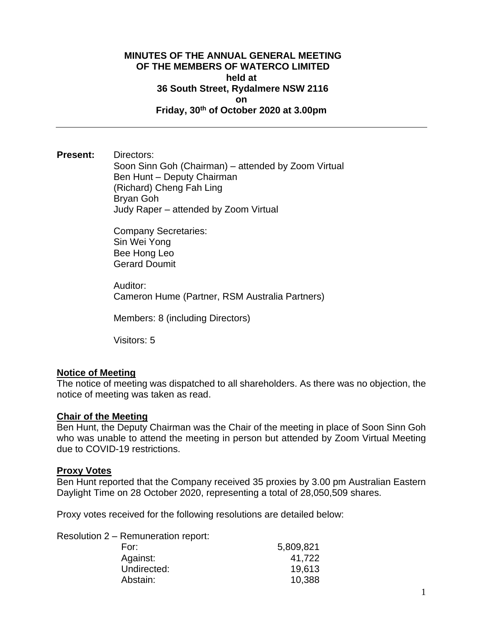## **MINUTES OF THE ANNUAL GENERAL MEETING OF THE MEMBERS OF WATERCO LIMITED held at 36 South Street, Rydalmere NSW 2116 on Friday, 30th of October 2020 at 3.00pm**

**Present:** Directors: Soon Sinn Goh (Chairman) – attended by Zoom Virtual Ben Hunt – Deputy Chairman (Richard) Cheng Fah Ling Bryan Goh Judy Raper – attended by Zoom Virtual

> Company Secretaries: Sin Wei Yong Bee Hong Leo Gerard Doumit

Auditor: Cameron Hume (Partner, RSM Australia Partners)

Members: 8 (including Directors)

Visitors: 5

## **Notice of Meeting**

The notice of meeting was dispatched to all shareholders. As there was no objection, the notice of meeting was taken as read.

#### **Chair of the Meeting**

Ben Hunt, the Deputy Chairman was the Chair of the meeting in place of Soon Sinn Goh who was unable to attend the meeting in person but attended by Zoom Virtual Meeting due to COVID-19 restrictions.

#### **Proxy Votes**

Ben Hunt reported that the Company received 35 proxies by 3.00 pm Australian Eastern Daylight Time on 28 October 2020, representing a total of 28,050,509 shares.

Proxy votes received for the following resolutions are detailed below:

Resolution 2 – Remuneration report:

| For:        | 5,809,821 |
|-------------|-----------|
| Against:    | 41,722    |
| Undirected: | 19,613    |
| Abstain:    | 10,388    |